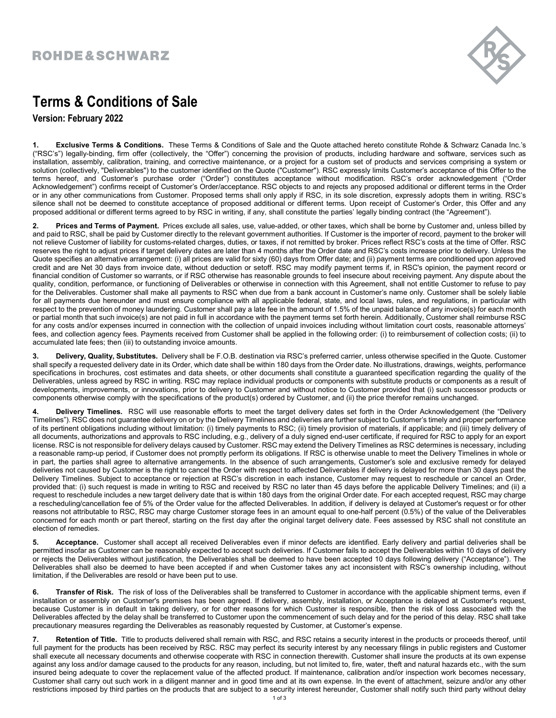## ROHDE&SCHWARZ



## Terms & Conditions of Sale

Version: February 2022

1. Exclusive Terms & Conditions. These Terms & Conditions of Sale and the Quote attached hereto constitute Rohde & Schwarz Canada Inc.'s ("RSC's") legally-binding, firm offer (collectively, the "Offer") concerning the provision of products, including hardware and software, services such as installation, assembly, calibration, training, and corrective maintenance, or a project for a custom set of products and services comprising a system or solution (collectively, "Deliverables") to the customer identified on the Quote ("Customer"). RSC expressly limits Customer's acceptance of this Offer to the terms hereof, and Customer's purchase order ("Order") constitutes acceptance without modification. RSC's order acknowledgement ("Order Acknowledgement") confirms receipt of Customer's Order/acceptance. RSC objects to and rejects any proposed additional or different terms in the Order or in any other communications from Customer. Proposed terms shall only apply if RSC, in its sole discretion, expressly adopts them in writing. RSC's silence shall not be deemed to constitute acceptance of proposed additional or different terms. Upon receipt of Customer's Order, this Offer and any proposed additional or different terms agreed to by RSC in writing, if any, shall constitute the parties' legally binding contract (the "Agreement").

2. Prices and Terms of Payment. Prices exclude all sales, use, value-added, or other taxes, which shall be borne by Customer and, unless billed by and paid to RSC, shall be paid by Customer directly to the relevant government authorities. If Customer is the importer of record, payment to the broker will not relieve Customer of liability for customs-related charges, duties, or taxes, if not remitted by broker. Prices reflect RSC's costs at the time of Offer. RSC reserves the right to adjust prices if target delivery dates are later than 4 months after the Order date and RSC's costs increase prior to delivery. Unless the Quote specifies an alternative arrangement: (i) all prices are valid for sixty (60) days from Offer date; and (ii) payment terms are conditioned upon approved credit and are Net 30 days from invoice date, without deduction or setoff. RSC may modify payment terms if, in RSC's opinion, the payment record or financial condition of Customer so warrants, or if RSC otherwise has reasonable grounds to feel insecure about receiving payment. Any dispute about the quality, condition, performance, or functioning of Deliverables or otherwise in connection with this Agreement, shall not entitle Customer to refuse to pay for the Deliverables. Customer shall make all payments to RSC when due from a bank account in Customer's name only. Customer shall be solely liable for all payments due hereunder and must ensure compliance with all applicable federal, state, and local laws, rules, and regulations, in particular with respect to the prevention of money laundering. Customer shall pay a late fee in the amount of 1.5% of the unpaid balance of any invoice(s) for each month or partial month that such invoice(s) are not paid in full in accordance with the payment terms set forth herein. Additionally, Customer shall reimburse RSC for any costs and/or expenses incurred in connection with the collection of unpaid invoices including without limitation court costs, reasonable attorneys' fees, and collection agency fees. Payments received from Customer shall be applied in the following order: (i) to reimbursement of collection costs; (ii) to accumulated late fees; then (iii) to outstanding invoice amounts.

Delivery, Quality, Substitutes. Delivery shall be F.O.B. destination via RSC's preferred carrier, unless otherwise specified in the Quote. Customer shall specify a requested delivery date in its Order, which date shall be within 180 days from the Order date. No illustrations, drawings, weights, performance specifications in brochures, cost estimates and data sheets, or other documents shall constitute a guaranteed specification regarding the quality of the Deliverables, unless agreed by RSC in writing. RSC may replace individual products or components with substitute products or components as a result of developments, improvements, or innovations, prior to delivery to Customer and without notice to Customer provided that (i) such successor products or components otherwise comply with the specifications of the product(s) ordered by Customer, and (ii) the price therefor remains unchanged.

4. Delivery Timelines. RSC will use reasonable efforts to meet the target delivery dates set forth in the Order Acknowledgement (the "Delivery Timelines"). RSC does not guarantee delivery on or by the Delivery Timelines and deliveries are further subject to Customer's timely and proper performance of its pertinent obligations including without limitation: (i) timely payments to RSC; (ii) timely provision of materials, if applicable; and (iii) timely delivery of all documents, authorizations and approvals to RSC including, e.g., delivery of a duly signed end-user certificate, if required for RSC to apply for an export license. RSC is not responsible for delivery delays caused by Customer. RSC may extend the Delivery Timelines as RSC determines is necessary, including a reasonable ramp-up period, if Customer does not promptly perform its obligations. If RSC is otherwise unable to meet the Delivery Timelines in whole or in part, the parties shall agree to alternative arrangements. In the absence of such arrangements, Customer's sole and exclusive remedy for delayed deliveries not caused by Customer is the right to cancel the Order with respect to affected Deliverables if delivery is delayed for more than 30 days past the Delivery Timelines. Subject to acceptance or rejection at RSC's discretion in each instance, Customer may request to reschedule or cancel an Order, provided that: (i) such request is made in writing to RSC and received by RSC no later than 45 days before the applicable Delivery Timelines; and (ii) a request to reschedule includes a new target delivery date that is within 180 days from the original Order date. For each accepted request, RSC may charge a rescheduling/cancellation fee of 5% of the Order value for the affected Deliverables. In addition, if delivery is delayed at Customer's request or for other reasons not attributable to RSC, RSC may charge Customer storage fees in an amount equal to one-half percent (0.5%) of the value of the Deliverables concerned for each month or part thereof, starting on the first day after the original target delivery date. Fees assessed by RSC shall not constitute an election of remedies.

5. Acceptance. Customer shall accept all received Deliverables even if minor defects are identified. Early delivery and partial deliveries shall be permitted insofar as Customer can be reasonably expected to accept such deliveries. If Customer fails to accept the Deliverables within 10 days of delivery or rejects the Deliverables without justification, the Deliverables shall be deemed to have been accepted 10 days following delivery ("Acceptance"). The Deliverables shall also be deemed to have been accepted if and when Customer takes any act inconsistent with RSC's ownership including, without limitation, if the Deliverables are resold or have been put to use.

6. Transfer of Risk. The risk of loss of the Deliverables shall be transferred to Customer in accordance with the applicable shipment terms, even if installation or assembly on Customer's premises has been agreed. If delivery, assembly, installation, or Acceptance is delayed at Customer's request, because Customer is in default in taking delivery, or for other reasons for which Customer is responsible, then the risk of loss associated with the Deliverables affected by the delay shall be transferred to Customer upon the commencement of such delay and for the period of this delay. RSC shall take precautionary measures regarding the Deliverables as reasonably requested by Customer, at Customer's expense.

7. Retention of Title. Title to products delivered shall remain with RSC, and RSC retains a security interest in the products or proceeds thereof, until full payment for the products has been received by RSC. RSC may perfect its security interest by any necessary filings in public registers and Customer shall execute all necessary documents and otherwise cooperate with RSC in connection therewith. Customer shall insure the products at its own expense against any loss and/or damage caused to the products for any reason, including, but not limited to, fire, water, theft and natural hazards etc., with the sum insured being adequate to cover the replacement value of the affected product. If maintenance, calibration and/or inspection work becomes necessary, Customer shall carry out such work in a diligent manner and in good time and at its own expense. In the event of attachment, seizure and/or any other restrictions imposed by third parties on the products that are subject to a security interest hereunder, Customer shall notify such third party without delay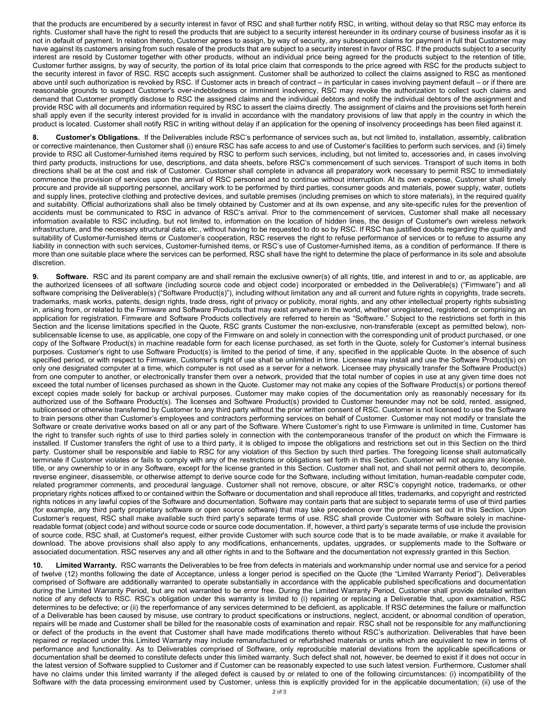that the products are encumbered by a security interest in favor of RSC and shall further notify RSC, in writing, without delay so that RSC may enforce its rights. Customer shall have the right to resell the products that are subject to a security interest hereunder in its ordinary course of business insofar as it is not in default of payment. In relation thereto, Customer agrees to assign, by way of security, any subsequent claims for payment in full that Customer may have against its customers arising from such resale of the products that are subject to a security interest in favor of RSC. If the products subject to a security interest are resold by Customer together with other products, without an individual price being agreed for the products subject to the retention of title, Customer further assigns, by way of security, the portion of its total price claim that corresponds to the price agreed with RSC for the products subject to the security interest in favor of RSC. RSC accepts such assignment. Customer shall be authorized to collect the claims assigned to RSC as mentioned above until such authorization is revoked by RSC. If Customer acts in breach of contract – in particular in cases involving payment default – or if there are reasonable grounds to suspect Customer's over-indebtedness or imminent insolvency, RSC may revoke the authorization to collect such claims and demand that Customer promptly disclose to RSC the assigned claims and the individual debtors and notify the individual debtors of the assignment and provide RSC with all documents and information required by RSC to assert the claims directly. The assignment of claims and the provisions set forth herein shall apply even if the security interest provided for is invalid in accordance with the mandatory provisions of law that apply in the country in which the product is located. Customer shall notify RSC in writing without delay if an application for the opening of insolvency proceedings has been filed against it.

Customer's Obligations. If the Deliverables include RSC's performance of services such as, but not limited to, installation, assembly, calibration or corrective maintenance, then Customer shall (i) ensure RSC has safe access to and use of Customer's facilities to perform such services, and (ii) timely provide to RSC all Customer-furnished items required by RSC to perform such services, including, but not limited to, accessories and, in cases involving third party products, instructions for use, descriptions, and data sheets, before RSC's commencement of such services. Transport of such items in both directions shall be at the cost and risk of Customer. Customer shall complete in advance all preparatory work necessary to permit RSC to immediately commence the provision of services upon the arrival of RSC personnel and to continue without interruption. At its own expense, Customer shall timely procure and provide all supporting personnel, ancillary work to be performed by third parties, consumer goods and materials, power supply, water, outlets and supply lines, protective clothing and protective devices, and suitable premises (including premises on which to store materials), in the required quality and suitability. Official authorizations shall also be timely obtained by Customer and at its own expense, and any site-specific rules for the prevention of accidents must be communicated to RSC in advance of RSC's arrival. Prior to the commencement of services, Customer shall make all necessary information available to RSC including, but not limited to, information on the location of hidden lines, the design of Customer's own wireless network infrastructure, and the necessary structural data etc., without having to be requested to do so by RSC. If RSC has justified doubts regarding the quality and suitability of Customer-furnished items or Customer's cooperation, RSC reserves the right to refuse performance of services or to refuse to assume any liability in connection with such services, Customer-furnished items, or RSC's use of Customer-furnished items, as a condition of performance. If there is more than one suitable place where the services can be performed, RSC shall have the right to determine the place of performance in its sole and absolute discretion.

9. Software. RSC and its parent company are and shall remain the exclusive owner(s) of all rights, title, and interest in and to or, as applicable, are the authorized licensees of all software (including source code and object code) incorporated or embedded in the Deliverable(s) ("Firmware") and all software comprising the Deliverable(s) ("Software Product(s)"), including without limitation any and all current and future rights in copyrights, trade secrets, trademarks, mask works, patents, design rights, trade dress, right of privacy or publicity, moral rights, and any other intellectual property rights subsisting in, arising from, or related to the Firmware and Software Products that may exist anywhere in the world, whether unregistered, registered, or comprising an application for registration. Firmware and Software Products collectively are referred to herein as "Software." Subject to the restrictions set forth in this Section and the license limitations specified in the Quote, RSC grants Customer the non-exclusive, non-transferable (except as permitted below), nonsublicensable license to use, as applicable, one copy of the Firmware on and solely in connection with the corresponding unit of product purchased, or one copy of the Software Product(s) in machine readable form for each license purchased, as set forth in the Quote, solely for Customer's internal business purposes. Customer's right to use Software Product(s) is limited to the period of time, if any, specified in the applicable Quote. In the absence of such specified period, or with respect to Firmware, Customer's right of use shall be unlimited in time. Licensee may install and use the Software Product(s) on only one designated computer at a time, which computer is not used as a server for a network. Licensee may physically transfer the Software Product(s) from one computer to another, or electronically transfer them over a network, provided that the total number of copies in use at any given time does not exceed the total number of licenses purchased as shown in the Quote. Customer may not make any copies of the Software Product(s) or portions thereof except copies made solely for backup or archival purposes. Customer may make copies of the documentation only as reasonably necessary for its authorized use of the Software Product(s). The licenses and Software Product(s) provided to Customer hereunder may not be sold, rented, assigned, sublicensed or otherwise transferred by Customer to any third party without the prior written consent of RSC. Customer is not licensed to use the Software to train persons other than Customer's employees and contractors performing services on behalf of Customer. Customer may not modify or translate the Software or create derivative works based on all or any part of the Software. Where Customer's right to use Firmware is unlimited in time, Customer has the right to transfer such rights of use to third parties solely in connection with the contemporaneous transfer of the product on which the Firmware is installed. If Customer transfers the right of use to a third party, it is obliged to impose the obligations and restrictions set out in this Section on the third party. Customer shall be responsible and liable to RSC for any violation of this Section by such third parties. The foregoing license shall automatically terminate if Customer violates or fails to comply with any of the restrictions or obligations set forth in this Section. Customer will not acquire any license, title, or any ownership to or in any Software, except for the license granted in this Section. Customer shall not, and shall not permit others to, decompile, reverse engineer, disassemble, or otherwise attempt to derive source code for the Software, including without limitation, human-readable computer code, related programmer comments, and procedural language. Customer shall not remove, obscure, or alter RSC's copyright notice, trademarks, or other proprietary rights notices affixed to or contained within the Software or documentation and shall reproduce all titles, trademarks, and copyright and restricted rights notices in any lawful copies of the Software and documentation. Software may contain parts that are subject to separate terms of use of third parties (for example, any third party proprietary software or open source software) that may take precedence over the provisions set out in this Section. Upon Customer's request, RSC shall make available such third party's separate terms of use. RSC shall provide Customer with Software solely in machinereadable format (object code) and without source code or source code documentation. If, however, a third party's separate terms of use include the provision of source code, RSC shall, at Customer's request, either provide Customer with such source code that is to be made available, or make it available for download. The above provisions shall also apply to any modifications, enhancements, updates, upgrades, or supplements made to the Software or associated documentation. RSC reserves any and all other rights in and to the Software and the documentation not expressly granted in this Section.

10. Limited Warranty. RSC warrants the Deliverables to be free from defects in materials and workmanship under normal use and service for a period of twelve (12) months following the date of Acceptance, unless a longer period is specified on the Quote (the "Limited Warranty Period"). Deliverables comprised of Software are additionally warranted to operate substantially in accordance with the applicable published specifications and documentation during the Limited Warranty Period, but are not warranted to be error free. During the Limited Warranty Period, Customer shall provide detailed written notice of any defects to RSC. RSC's obligation under this warranty is limited to (i) repairing or replacing a Deliverable that, upon examination, RSC determines to be defective; or (ii) the reperformance of any services determined to be deficient, as applicable. If RSC determines the failure or malfunction of a Deliverable has been caused by misuse, use contrary to product specifications or instructions, neglect, accident, or abnormal condition of operation, repairs will be made and Customer shall be billed for the reasonable costs of examination and repair. RSC shall not be responsible for any malfunctioning or defect of the products in the event that Customer shall have made modifications thereto without RSC's authorization. Deliverables that have been repaired or replaced under this Limited Warranty may include remanufactured or refurbished materials or units which are equivalent to new in terms of performance and functionality. As to Deliverables comprised of Software, only reproducible material deviations from the applicable specifications or documentation shall be deemed to constitute defects under this limited warranty. Such defect shall not, however, be deemed to exist if it does not occur in the latest version of Software supplied to Customer and if Customer can be reasonably expected to use such latest version. Furthermore, Customer shall have no claims under this limited warranty if the alleged defect is caused by or related to one of the following circumstances: (i) incompatibility of the Software with the data processing environment used by Customer, unless this is explicitly provided for in the applicable documentation; (ii) use of the